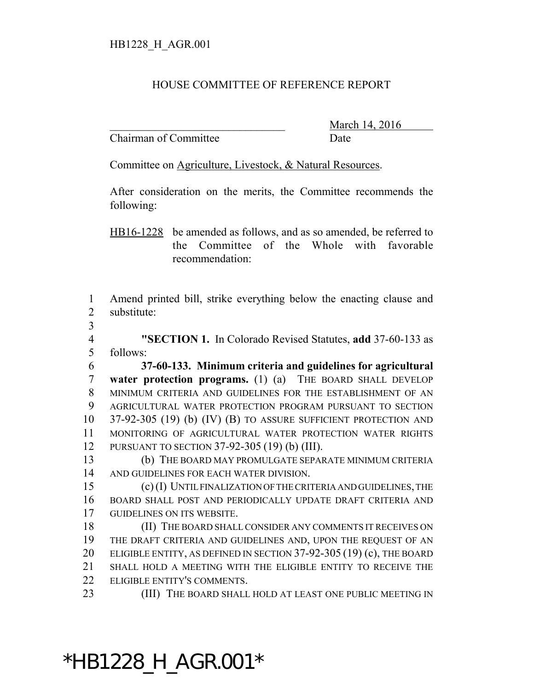#### HOUSE COMMITTEE OF REFERENCE REPORT

Chairman of Committee Date

March 14, 2016

Committee on Agriculture, Livestock, & Natural Resources.

After consideration on the merits, the Committee recommends the following:

HB16-1228 be amended as follows, and as so amended, be referred to the Committee of the Whole with favorable recommendation:

 Amend printed bill, strike everything below the enacting clause and substitute:

 **"SECTION 1.** In Colorado Revised Statutes, **add** 37-60-133 as follows:

 **37-60-133. Minimum criteria and guidelines for agricultural water protection programs.** (1) (a) THE BOARD SHALL DEVELOP MINIMUM CRITERIA AND GUIDELINES FOR THE ESTABLISHMENT OF AN AGRICULTURAL WATER PROTECTION PROGRAM PURSUANT TO SECTION 37-92-305 (19) (b) (IV) (B) TO ASSURE SUFFICIENT PROTECTION AND MONITORING OF AGRICULTURAL WATER PROTECTION WATER RIGHTS PURSUANT TO SECTION 37-92-305 (19) (b) (III).

 (b) THE BOARD MAY PROMULGATE SEPARATE MINIMUM CRITERIA AND GUIDELINES FOR EACH WATER DIVISION.

 (c) (I) UNTIL FINALIZATION OF THE CRITERIA AND GUIDELINES, THE BOARD SHALL POST AND PERIODICALLY UPDATE DRAFT CRITERIA AND GUIDELINES ON ITS WEBSITE.

 (II) THE BOARD SHALL CONSIDER ANY COMMENTS IT RECEIVES ON THE DRAFT CRITERIA AND GUIDELINES AND, UPON THE REQUEST OF AN 20 ELIGIBLE ENTITY, AS DEFINED IN SECTION 37-92-305 (19) (c), THE BOARD SHALL HOLD A MEETING WITH THE ELIGIBLE ENTITY TO RECEIVE THE ELIGIBLE ENTITY'S COMMENTS.

23 (III) THE BOARD SHALL HOLD AT LEAST ONE PUBLIC MEETING IN

### \*HB1228\_H\_AGR.001\*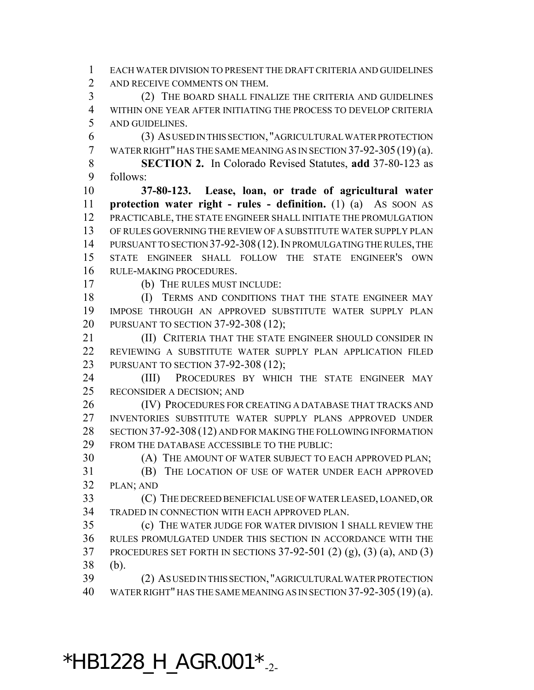EACH WATER DIVISION TO PRESENT THE DRAFT CRITERIA AND GUIDELINES 2 AND RECEIVE COMMENTS ON THEM.

 (2) THE BOARD SHALL FINALIZE THE CRITERIA AND GUIDELINES WITHIN ONE YEAR AFTER INITIATING THE PROCESS TO DEVELOP CRITERIA AND GUIDELINES.

 (3) AS USED IN THIS SECTION, "AGRICULTURAL WATER PROTECTION WATER RIGHT" HAS THE SAME MEANING AS IN SECTION 37-92-305 (19) (a).

 **SECTION 2.** In Colorado Revised Statutes, **add** 37-80-123 as follows:

 **37-80-123. Lease, loan, or trade of agricultural water protection water right - rules - definition.** (1) (a) AS SOON AS PRACTICABLE, THE STATE ENGINEER SHALL INITIATE THE PROMULGATION OF RULES GOVERNING THE REVIEW OF A SUBSTITUTE WATER SUPPLY PLAN 14 PURSUANT TO SECTION 37-92-308 (12). IN PROMULGATING THE RULES, THE STATE ENGINEER SHALL FOLLOW THE STATE ENGINEER'S OWN RULE-MAKING PROCEDURES.

(b) THE RULES MUST INCLUDE:

18 (I) TERMS AND CONDITIONS THAT THE STATE ENGINEER MAY IMPOSE THROUGH AN APPROVED SUBSTITUTE WATER SUPPLY PLAN PURSUANT TO SECTION 37-92-308 (12);

**(II) CRITERIA THAT THE STATE ENGINEER SHOULD CONSIDER IN**  REVIEWING A SUBSTITUTE WATER SUPPLY PLAN APPLICATION FILED PURSUANT TO SECTION 37-92-308 (12);

24 (III) PROCEDURES BY WHICH THE STATE ENGINEER MAY RECONSIDER A DECISION; AND

 (IV) PROCEDURES FOR CREATING A DATABASE THAT TRACKS AND INVENTORIES SUBSTITUTE WATER SUPPLY PLANS APPROVED UNDER 28 SECTION 37-92-308 (12) AND FOR MAKING THE FOLLOWING INFORMATION FROM THE DATABASE ACCESSIBLE TO THE PUBLIC:

(A) THE AMOUNT OF WATER SUBJECT TO EACH APPROVED PLAN;

 (B) THE LOCATION OF USE OF WATER UNDER EACH APPROVED PLAN; AND

 (C) THE DECREED BENEFICIAL USE OF WATER LEASED, LOANED, OR TRADED IN CONNECTION WITH EACH APPROVED PLAN.

 (c) THE WATER JUDGE FOR WATER DIVISION 1 SHALL REVIEW THE RULES PROMULGATED UNDER THIS SECTION IN ACCORDANCE WITH THE PROCEDURES SET FORTH IN SECTIONS 37-92-501 (2) (g), (3) (a), AND (3) (b).

 (2) AS USED IN THIS SECTION,"AGRICULTURAL WATER PROTECTION WATER RIGHT" HAS THE SAME MEANING AS IN SECTION 37-92-305 (19) (a).

 $*$ HB1228\_H\_AGR.001 $*_{-2}$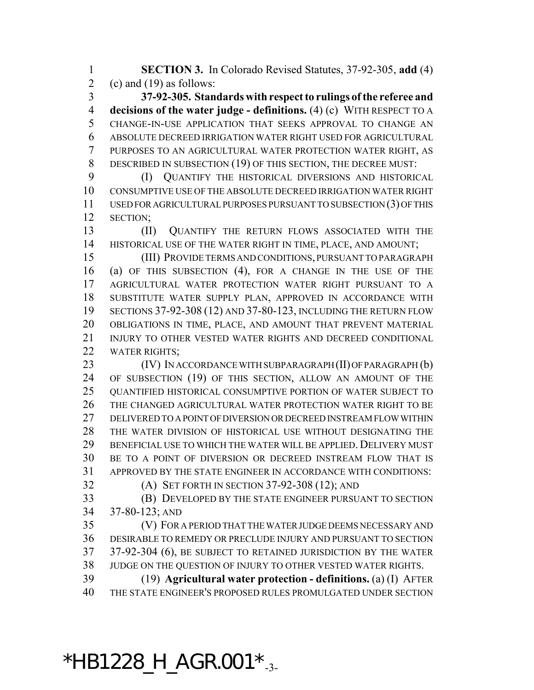**SECTION 3.** In Colorado Revised Statutes, 37-92-305, **add** (4) 2 (c) and (19) as follows:

 **37-92-305. Standards with respect to rulings of the referee and decisions of the water judge - definitions.** (4) (c) WITH RESPECT TO A CHANGE-IN-USE APPLICATION THAT SEEKS APPROVAL TO CHANGE AN ABSOLUTE DECREED IRRIGATION WATER RIGHT USED FOR AGRICULTURAL PURPOSES TO AN AGRICULTURAL WATER PROTECTION WATER RIGHT, AS 8 DESCRIBED IN SUBSECTION (19) OF THIS SECTION, THE DECREE MUST:

 (I) QUANTIFY THE HISTORICAL DIVERSIONS AND HISTORICAL CONSUMPTIVE USE OF THE ABSOLUTE DECREED IRRIGATION WATER RIGHT USED FOR AGRICULTURAL PURPOSES PURSUANT TO SUBSECTION (3) OF THIS SECTION;

 (II) QUANTIFY THE RETURN FLOWS ASSOCIATED WITH THE HISTORICAL USE OF THE WATER RIGHT IN TIME, PLACE, AND AMOUNT;

 (III) PROVIDE TERMS AND CONDITIONS, PURSUANT TO PARAGRAPH (a) OF THIS SUBSECTION (4), FOR A CHANGE IN THE USE OF THE AGRICULTURAL WATER PROTECTION WATER RIGHT PURSUANT TO A SUBSTITUTE WATER SUPPLY PLAN, APPROVED IN ACCORDANCE WITH SECTIONS 37-92-308 (12) AND 37-80-123, INCLUDING THE RETURN FLOW OBLIGATIONS IN TIME, PLACE, AND AMOUNT THAT PREVENT MATERIAL INJURY TO OTHER VESTED WATER RIGHTS AND DECREED CONDITIONAL WATER RIGHTS;

**(IV) IN ACCORDANCE WITH SUBPARAGRAPH (II) OF PARAGRAPH (b)**  OF SUBSECTION (19) OF THIS SECTION, ALLOW AN AMOUNT OF THE 25 OUANTIFIED HISTORICAL CONSUMPTIVE PORTION OF WATER SUBJECT TO THE CHANGED AGRICULTURAL WATER PROTECTION WATER RIGHT TO BE DELIVERED TO A POINT OF DIVERSION OR DECREED INSTREAM FLOW WITHIN THE WATER DIVISION OF HISTORICAL USE WITHOUT DESIGNATING THE BENEFICIAL USE TO WHICH THE WATER WILL BE APPLIED. DELIVERY MUST BE TO A POINT OF DIVERSION OR DECREED INSTREAM FLOW THAT IS APPROVED BY THE STATE ENGINEER IN ACCORDANCE WITH CONDITIONS:

(A) SET FORTH IN SECTION 37-92-308 (12); AND

 (B) DEVELOPED BY THE STATE ENGINEER PURSUANT TO SECTION 37-80-123; AND

 (V) FOR A PERIOD THAT THE WATER JUDGE DEEMS NECESSARY AND DESIRABLE TO REMEDY OR PRECLUDE INJURY AND PURSUANT TO SECTION 37-92-304 (6), BE SUBJECT TO RETAINED JURISDICTION BY THE WATER JUDGE ON THE QUESTION OF INJURY TO OTHER VESTED WATER RIGHTS.

 (19) **Agricultural water protection - definitions.** (a) (I) AFTER THE STATE ENGINEER'S PROPOSED RULES PROMULGATED UNDER SECTION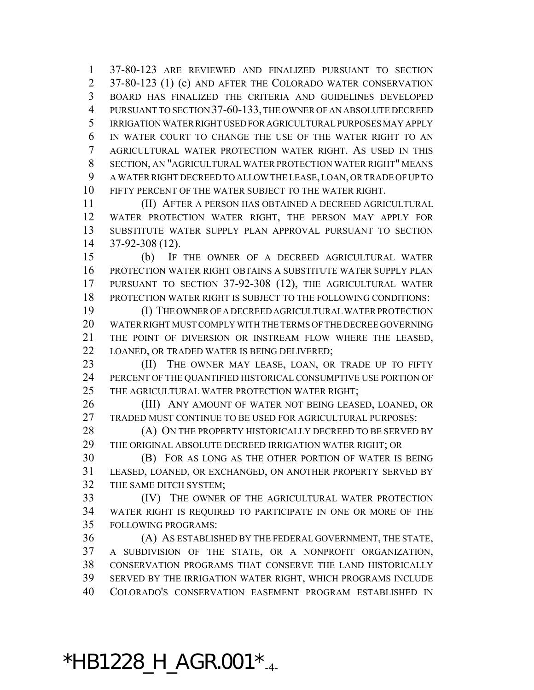37-80-123 ARE REVIEWED AND FINALIZED PURSUANT TO SECTION 2 37-80-123 (1) (c) AND AFTER THE COLORADO WATER CONSERVATION BOARD HAS FINALIZED THE CRITERIA AND GUIDELINES DEVELOPED PURSUANT TO SECTION 37-60-133, THE OWNER OF AN ABSOLUTE DECREED IRRIGATION WATER RIGHT USED FOR AGRICULTURAL PURPOSES MAY APPLY IN WATER COURT TO CHANGE THE USE OF THE WATER RIGHT TO AN AGRICULTURAL WATER PROTECTION WATER RIGHT. AS USED IN THIS SECTION, AN "AGRICULTURAL WATER PROTECTION WATER RIGHT" MEANS A WATER RIGHT DECREED TO ALLOW THE LEASE, LOAN, OR TRADE OF UP TO FIFTY PERCENT OF THE WATER SUBJECT TO THE WATER RIGHT.

 (II) AFTER A PERSON HAS OBTAINED A DECREED AGRICULTURAL WATER PROTECTION WATER RIGHT, THE PERSON MAY APPLY FOR SUBSTITUTE WATER SUPPLY PLAN APPROVAL PURSUANT TO SECTION 37-92-308 (12).

 (b) IF THE OWNER OF A DECREED AGRICULTURAL WATER PROTECTION WATER RIGHT OBTAINS A SUBSTITUTE WATER SUPPLY PLAN PURSUANT TO SECTION 37-92-308 (12), THE AGRICULTURAL WATER PROTECTION WATER RIGHT IS SUBJECT TO THE FOLLOWING CONDITIONS:

 (I) THE OWNER OF A DECREED AGRICULTURAL WATER PROTECTION WATER RIGHT MUST COMPLY WITH THE TERMS OF THE DECREE GOVERNING THE POINT OF DIVERSION OR INSTREAM FLOW WHERE THE LEASED, LOANED, OR TRADED WATER IS BEING DELIVERED;

23 (II) THE OWNER MAY LEASE, LOAN, OR TRADE UP TO FIFTY PERCENT OF THE QUANTIFIED HISTORICAL CONSUMPTIVE USE PORTION OF 25 THE AGRICULTURAL WATER PROTECTION WATER RIGHT;

26 (III) ANY AMOUNT OF WATER NOT BEING LEASED, LOANED, OR TRADED MUST CONTINUE TO BE USED FOR AGRICULTURAL PURPOSES:

28 (A) ON THE PROPERTY HISTORICALLY DECREED TO BE SERVED BY THE ORIGINAL ABSOLUTE DECREED IRRIGATION WATER RIGHT; OR

 (B) FOR AS LONG AS THE OTHER PORTION OF WATER IS BEING LEASED, LOANED, OR EXCHANGED, ON ANOTHER PROPERTY SERVED BY THE SAME DITCH SYSTEM;

 (IV) THE OWNER OF THE AGRICULTURAL WATER PROTECTION WATER RIGHT IS REQUIRED TO PARTICIPATE IN ONE OR MORE OF THE FOLLOWING PROGRAMS:

 (A) AS ESTABLISHED BY THE FEDERAL GOVERNMENT, THE STATE, A SUBDIVISION OF THE STATE, OR A NONPROFIT ORGANIZATION, CONSERVATION PROGRAMS THAT CONSERVE THE LAND HISTORICALLY SERVED BY THE IRRIGATION WATER RIGHT, WHICH PROGRAMS INCLUDE COLORADO'S CONSERVATION EASEMENT PROGRAM ESTABLISHED IN

## $*$ HB1228\_H\_AGR.001 $*_{-4}$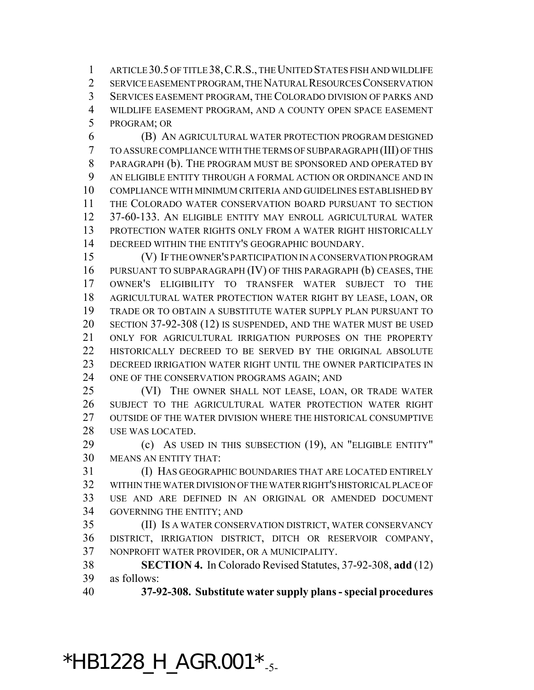ARTICLE 30.5 OF TITLE 38,C.R.S., THE UNITED STATES FISH AND WILDLIFE SERVICE EASEMENT PROGRAM, THE NATURAL RESOURCES CONSERVATION SERVICES EASEMENT PROGRAM, THE COLORADO DIVISION OF PARKS AND WILDLIFE EASEMENT PROGRAM, AND A COUNTY OPEN SPACE EASEMENT PROGRAM; OR

 (B) AN AGRICULTURAL WATER PROTECTION PROGRAM DESIGNED TO ASSURE COMPLIANCE WITH THE TERMS OF SUBPARAGRAPH (III) OF THIS PARAGRAPH (b). THE PROGRAM MUST BE SPONSORED AND OPERATED BY AN ELIGIBLE ENTITY THROUGH A FORMAL ACTION OR ORDINANCE AND IN COMPLIANCE WITH MINIMUM CRITERIA AND GUIDELINES ESTABLISHED BY THE COLORADO WATER CONSERVATION BOARD PURSUANT TO SECTION 37-60-133. AN ELIGIBLE ENTITY MAY ENROLL AGRICULTURAL WATER PROTECTION WATER RIGHTS ONLY FROM A WATER RIGHT HISTORICALLY DECREED WITHIN THE ENTITY'S GEOGRAPHIC BOUNDARY.

 (V) IF THE OWNER'S PARTICIPATION IN A CONSERVATION PROGRAM PURSUANT TO SUBPARAGRAPH (IV) OF THIS PARAGRAPH (b) CEASES, THE OWNER'S ELIGIBILITY TO TRANSFER WATER SUBJECT TO THE AGRICULTURAL WATER PROTECTION WATER RIGHT BY LEASE, LOAN, OR TRADE OR TO OBTAIN A SUBSTITUTE WATER SUPPLY PLAN PURSUANT TO SECTION 37-92-308 (12) IS SUSPENDED, AND THE WATER MUST BE USED ONLY FOR AGRICULTURAL IRRIGATION PURPOSES ON THE PROPERTY 22 HISTORICALLY DECREED TO BE SERVED BY THE ORIGINAL ABSOLUTE DECREED IRRIGATION WATER RIGHT UNTIL THE OWNER PARTICIPATES IN ONE OF THE CONSERVATION PROGRAMS AGAIN; AND

 (VI) THE OWNER SHALL NOT LEASE, LOAN, OR TRADE WATER SUBJECT TO THE AGRICULTURAL WATER PROTECTION WATER RIGHT OUTSIDE OF THE WATER DIVISION WHERE THE HISTORICAL CONSUMPTIVE USE WAS LOCATED.

 (c) AS USED IN THIS SUBSECTION (19), AN "ELIGIBLE ENTITY" MEANS AN ENTITY THAT:

 (I) HAS GEOGRAPHIC BOUNDARIES THAT ARE LOCATED ENTIRELY WITHIN THE WATER DIVISION OF THE WATER RIGHT'S HISTORICAL PLACE OF USE AND ARE DEFINED IN AN ORIGINAL OR AMENDED DOCUMENT GOVERNING THE ENTITY; AND

 (II) IS A WATER CONSERVATION DISTRICT, WATER CONSERVANCY DISTRICT, IRRIGATION DISTRICT, DITCH OR RESERVOIR COMPANY, NONPROFIT WATER PROVIDER, OR A MUNICIPALITY.

 **SECTION 4.** In Colorado Revised Statutes, 37-92-308, **add** (12) as follows:

**37-92-308. Substitute water supply plans - special procedures**

\*HB1228\_H\_AGR.001 $*_{-5}$ -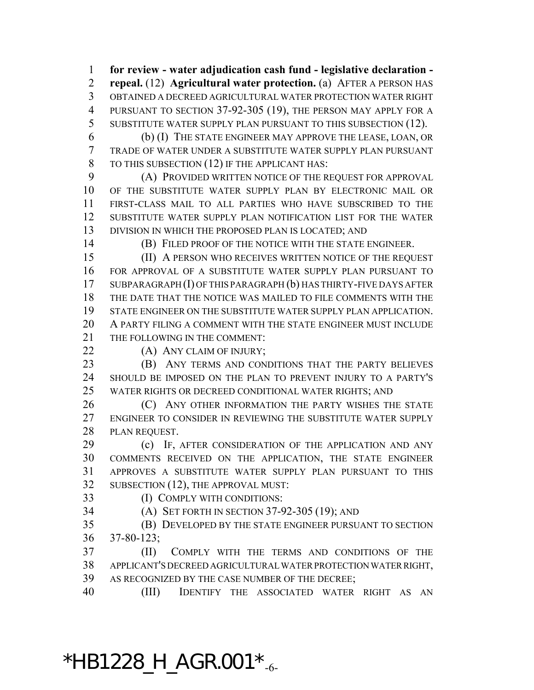**for review - water adjudication cash fund - legislative declaration - repeal.** (12) **Agricultural water protection.** (a) AFTER A PERSON HAS OBTAINED A DECREED AGRICULTURAL WATER PROTECTION WATER RIGHT PURSUANT TO SECTION 37-92-305 (19), THE PERSON MAY APPLY FOR A SUBSTITUTE WATER SUPPLY PLAN PURSUANT TO THIS SUBSECTION (12).

 (b) (I) THE STATE ENGINEER MAY APPROVE THE LEASE, LOAN, OR TRADE OF WATER UNDER A SUBSTITUTE WATER SUPPLY PLAN PURSUANT TO THIS SUBSECTION (12) IF THE APPLICANT HAS:

 (A) PROVIDED WRITTEN NOTICE OF THE REQUEST FOR APPROVAL OF THE SUBSTITUTE WATER SUPPLY PLAN BY ELECTRONIC MAIL OR FIRST-CLASS MAIL TO ALL PARTIES WHO HAVE SUBSCRIBED TO THE SUBSTITUTE WATER SUPPLY PLAN NOTIFICATION LIST FOR THE WATER DIVISION IN WHICH THE PROPOSED PLAN IS LOCATED; AND

(B) FILED PROOF OF THE NOTICE WITH THE STATE ENGINEER.

 (II) A PERSON WHO RECEIVES WRITTEN NOTICE OF THE REQUEST FOR APPROVAL OF A SUBSTITUTE WATER SUPPLY PLAN PURSUANT TO SUBPARAGRAPH (I) OF THIS PARAGRAPH (b) HAS THIRTY-FIVE DAYS AFTER THE DATE THAT THE NOTICE WAS MAILED TO FILE COMMENTS WITH THE STATE ENGINEER ON THE SUBSTITUTE WATER SUPPLY PLAN APPLICATION. A PARTY FILING A COMMENT WITH THE STATE ENGINEER MUST INCLUDE 21 THE FOLLOWING IN THE COMMENT:

22 (A) ANY CLAIM OF INJURY;

 (B) ANY TERMS AND CONDITIONS THAT THE PARTY BELIEVES SHOULD BE IMPOSED ON THE PLAN TO PREVENT INJURY TO A PARTY'S WATER RIGHTS OR DECREED CONDITIONAL WATER RIGHTS; AND

**(C)** ANY OTHER INFORMATION THE PARTY WISHES THE STATE ENGINEER TO CONSIDER IN REVIEWING THE SUBSTITUTE WATER SUPPLY PLAN REQUEST.

**(c)** IF, AFTER CONSIDERATION OF THE APPLICATION AND ANY COMMENTS RECEIVED ON THE APPLICATION, THE STATE ENGINEER APPROVES A SUBSTITUTE WATER SUPPLY PLAN PURSUANT TO THIS SUBSECTION (12), THE APPROVAL MUST:

(I) COMPLY WITH CONDITIONS:

(A) SET FORTH IN SECTION 37-92-305 (19); AND

 (B) DEVELOPED BY THE STATE ENGINEER PURSUANT TO SECTION 37-80-123;

 (II) COMPLY WITH THE TERMS AND CONDITIONS OF THE APPLICANT'S DECREED AGRICULTURAL WATER PROTECTION WATER RIGHT, AS RECOGNIZED BY THE CASE NUMBER OF THE DECREE;

(III) IDENTIFY THE ASSOCIATED WATER RIGHT AS AN

## $*$ HB1228\_H\_AGR.001 $*_{-6}$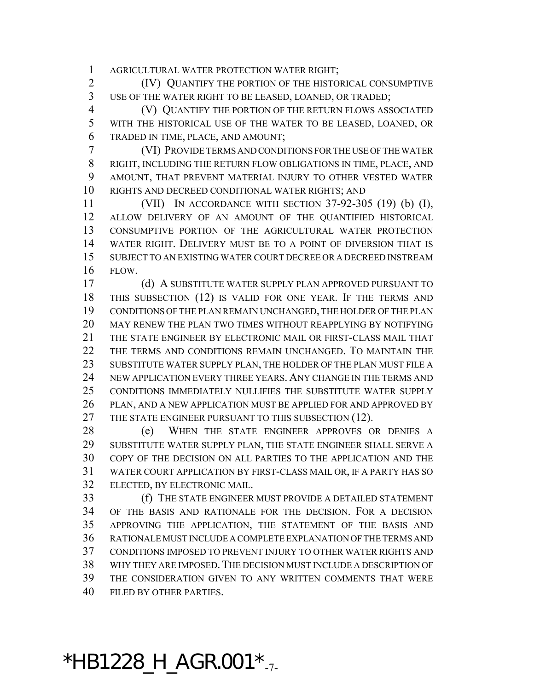AGRICULTURAL WATER PROTECTION WATER RIGHT;

 (IV) QUANTIFY THE PORTION OF THE HISTORICAL CONSUMPTIVE USE OF THE WATER RIGHT TO BE LEASED, LOANED, OR TRADED;

 (V) QUANTIFY THE PORTION OF THE RETURN FLOWS ASSOCIATED WITH THE HISTORICAL USE OF THE WATER TO BE LEASED, LOANED, OR TRADED IN TIME, PLACE, AND AMOUNT;

 (VI) PROVIDE TERMS AND CONDITIONS FOR THE USE OF THE WATER RIGHT, INCLUDING THE RETURN FLOW OBLIGATIONS IN TIME, PLACE, AND AMOUNT, THAT PREVENT MATERIAL INJURY TO OTHER VESTED WATER RIGHTS AND DECREED CONDITIONAL WATER RIGHTS; AND

 (VII) IN ACCORDANCE WITH SECTION 37-92-305 (19) (b) (I), ALLOW DELIVERY OF AN AMOUNT OF THE QUANTIFIED HISTORICAL CONSUMPTIVE PORTION OF THE AGRICULTURAL WATER PROTECTION WATER RIGHT. DELIVERY MUST BE TO A POINT OF DIVERSION THAT IS SUBJECT TO AN EXISTING WATER COURT DECREE OR A DECREED INSTREAM FLOW.

 (d) A SUBSTITUTE WATER SUPPLY PLAN APPROVED PURSUANT TO THIS SUBSECTION (12) IS VALID FOR ONE YEAR. IF THE TERMS AND CONDITIONS OF THE PLAN REMAIN UNCHANGED, THE HOLDER OF THE PLAN MAY RENEW THE PLAN TWO TIMES WITHOUT REAPPLYING BY NOTIFYING THE STATE ENGINEER BY ELECTRONIC MAIL OR FIRST-CLASS MAIL THAT THE TERMS AND CONDITIONS REMAIN UNCHANGED. TO MAINTAIN THE SUBSTITUTE WATER SUPPLY PLAN, THE HOLDER OF THE PLAN MUST FILE A NEW APPLICATION EVERY THREE YEARS. ANY CHANGE IN THE TERMS AND CONDITIONS IMMEDIATELY NULLIFIES THE SUBSTITUTE WATER SUPPLY PLAN, AND A NEW APPLICATION MUST BE APPLIED FOR AND APPROVED BY 27 THE STATE ENGINEER PURSUANT TO THIS SUBSECTION (12).

 (e) WHEN THE STATE ENGINEER APPROVES OR DENIES A SUBSTITUTE WATER SUPPLY PLAN, THE STATE ENGINEER SHALL SERVE A COPY OF THE DECISION ON ALL PARTIES TO THE APPLICATION AND THE WATER COURT APPLICATION BY FIRST-CLASS MAIL OR, IF A PARTY HAS SO ELECTED, BY ELECTRONIC MAIL.

 (f) THE STATE ENGINEER MUST PROVIDE A DETAILED STATEMENT OF THE BASIS AND RATIONALE FOR THE DECISION. FOR A DECISION APPROVING THE APPLICATION, THE STATEMENT OF THE BASIS AND RATIONALE MUST INCLUDE A COMPLETE EXPLANATION OF THE TERMS AND CONDITIONS IMPOSED TO PREVENT INJURY TO OTHER WATER RIGHTS AND WHY THEY ARE IMPOSED.THE DECISION MUST INCLUDE A DESCRIPTION OF THE CONSIDERATION GIVEN TO ANY WRITTEN COMMENTS THAT WERE FILED BY OTHER PARTIES.

## \*HB1228\_H\_AGR.001 $*_{.7}$